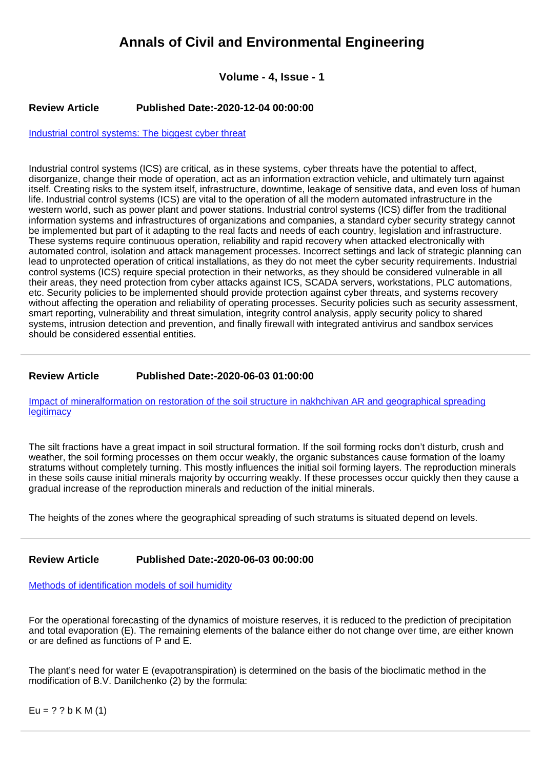# **Annals of Civil and Environmental Engineering**

# **Volume - 4, Issue - 1**

### **Review Article Published Date:-2020-12-04 00:00:00**

[Industrial control systems: The biggest cyber threat](https://www.civilenvironjournal.com/articles/acee-aid1026.pdf)

Industrial control systems (ICS) are critical, as in these systems, cyber threats have the potential to affect, disorganize, change their mode of operation, act as an information extraction vehicle, and ultimately turn against itself. Creating risks to the system itself, infrastructure, downtime, leakage of sensitive data, and even loss of human life. Industrial control systems (ICS) are vital to the operation of all the modern automated infrastructure in the western world, such as power plant and power stations. Industrial control systems (ICS) differ from the traditional information systems and infrastructures of organizations and companies, a standard cyber security strategy cannot be implemented but part of it adapting to the real facts and needs of each country, legislation and infrastructure. These systems require continuous operation, reliability and rapid recovery when attacked electronically with automated control, isolation and attack management processes. Incorrect settings and lack of strategic planning can lead to unprotected operation of critical installations, as they do not meet the cyber security requirements. Industrial control systems (ICS) require special protection in their networks, as they should be considered vulnerable in all their areas, they need protection from cyber attacks against ICS, SCADA servers, workstations, PLC automations, etc. Security policies to be implemented should provide protection against cyber threats, and systems recovery without affecting the operation and reliability of operating processes. Security policies such as security assessment, smart reporting, vulnerability and threat simulation, integrity control analysis, apply security policy to shared systems, intrusion detection and prevention, and finally firewall with integrated antivirus and sandbox services should be considered essential entities.

## **Review Article Published Date:-2020-06-03 01:00:00**

[Impact of mineralformation on restoration of the soil structure in nakhchivan AR and geographical spreading](https://www.civilenvironjournal.com/articles/acee-aid1025.pdf) **[legitimacy](https://www.civilenvironjournal.com/articles/acee-aid1025.pdf)** 

The silt fractions have a great impact in soil structural formation. If the soil forming rocks don't disturb, crush and weather, the soil forming processes on them occur weakly, the organic substances cause formation of the loamy stratums without completely turning. This mostly influences the initial soil forming layers. The reproduction minerals in these soils cause initial minerals majority by occurring weakly. If these processes occur quickly then they cause a gradual increase of the reproduction minerals and reduction of the initial minerals.

The heights of the zones where the geographical spreading of such stratums is situated depend on levels.

## **Review Article Published Date:-2020-06-03 00:00:00**

#### [Methods of identification models of soil humidity](https://www.civilenvironjournal.com/articles/acee-aid1024.pdf)

For the operational forecasting of the dynamics of moisture reserves, it is reduced to the prediction of precipitation and total evaporation (E). The remaining elements of the balance either do not change over time, are either known or are defined as functions of P and E.

The plant's need for water E (evapotranspiration) is determined on the basis of the bioclimatic method in the modification of B.V. Danilchenko (2) by the formula:

 $Eu = ? ? b K M (1)$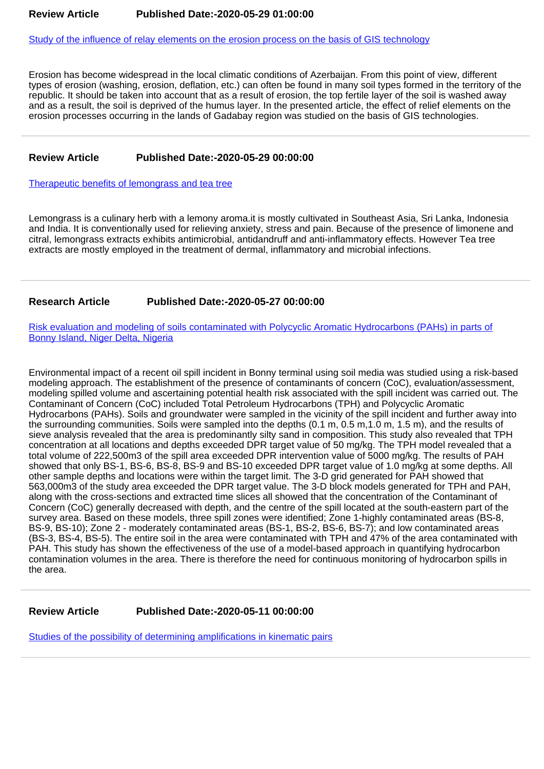[Study of the influence of relay elements on the erosion process on the basis of GIS technology](https://www.civilenvironjournal.com/articles/acee-aid1023.pdf)

Erosion has become widespread in the local climatic conditions of Azerbaijan. From this point of view, different types of erosion (washing, erosion, deflation, etc.) can often be found in many soil types formed in the territory of the republic. It should be taken into account that as a result of erosion, the top fertile layer of the soil is washed away and as a result, the soil is deprived of the humus layer. In the presented article, the effect of relief elements on the erosion processes occurring in the lands of Gadabay region was studied on the basis of GIS technologies.

#### **Review Article Published Date:-2020-05-29 00:00:00**

[Therapeutic benefits of lemongrass and tea tree](https://www.civilenvironjournal.com/articles/acee-aid1022.pdf)

Lemongrass is a culinary herb with a lemony aroma.it is mostly cultivated in Southeast Asia, Sri Lanka, Indonesia and India. It is conventionally used for relieving anxiety, stress and pain. Because of the presence of limonene and citral, lemongrass extracts exhibits antimicrobial, antidandruff and anti-inflammatory effects. However Tea tree extracts are mostly employed in the treatment of dermal, inflammatory and microbial infections.

#### **Research Article Published Date:-2020-05-27 00:00:00**

[Risk evaluation and modeling of soils contaminated with Polycyclic Aromatic Hydrocarbons \(PAHs\) in parts of](https://www.civilenvironjournal.com/articles/acee-aid1021.pdf) [Bonny Island, Niger Delta, Nigeria](https://www.civilenvironjournal.com/articles/acee-aid1021.pdf)

Environmental impact of a recent oil spill incident in Bonny terminal using soil media was studied using a risk-based modeling approach. The establishment of the presence of contaminants of concern (CoC), evaluation/assessment, modeling spilled volume and ascertaining potential health risk associated with the spill incident was carried out. The Contaminant of Concern (CoC) included Total Petroleum Hydrocarbons (TPH) and Polycyclic Aromatic Hydrocarbons (PAHs). Soils and groundwater were sampled in the vicinity of the spill incident and further away into the surrounding communities. Soils were sampled into the depths (0.1 m, 0.5 m,1.0 m, 1.5 m), and the results of sieve analysis revealed that the area is predominantly silty sand in composition. This study also revealed that TPH concentration at all locations and depths exceeded DPR target value of 50 mg/kg. The TPH model revealed that a total volume of 222,500m3 of the spill area exceeded DPR intervention value of 5000 mg/kg. The results of PAH showed that only BS-1, BS-6, BS-8, BS-9 and BS-10 exceeded DPR target value of 1.0 mg/kg at some depths. All other sample depths and locations were within the target limit. The 3-D grid generated for PAH showed that 563,000m3 of the study area exceeded the DPR target value. The 3-D block models generated for TPH and PAH, along with the cross-sections and extracted time slices all showed that the concentration of the Contaminant of Concern (CoC) generally decreased with depth, and the centre of the spill located at the south-eastern part of the survey area. Based on these models, three spill zones were identified; Zone 1-highly contaminated areas (BS-8, BS-9, BS-10); Zone 2 - moderately contaminated areas (BS-1, BS-2, BS-6, BS-7); and low contaminated areas (BS-3, BS-4, BS-5). The entire soil in the area were contaminated with TPH and 47% of the area contaminated with PAH. This study has shown the effectiveness of the use of a model-based approach in quantifying hydrocarbon contamination volumes in the area. There is therefore the need for continuous monitoring of hydrocarbon spills in the area.

**Review Article Published Date:-2020-05-11 00:00:00**

[Studies of the possibility of determining amplifications in kinematic pairs](https://www.civilenvironjournal.com/articles/acee-aid1020.pdf)